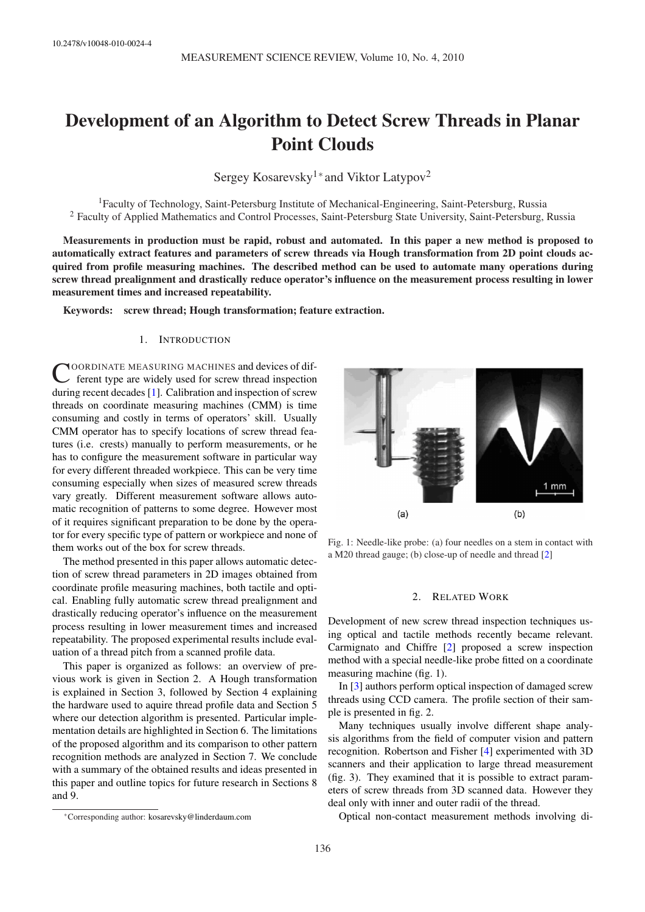# Development of an Algorithm to Detect Screw Threads in Planar Point Clouds

Sergey Kosarevsky<sup>1</sup><sup>∗</sup> and Viktor Latypov<sup>2</sup>

<sup>1</sup> Faculty of Technology, Saint-Petersburg Institute of Mechanical-Engineering, Saint-Petersburg, Russia <sup>2</sup> Faculty of Applied Mathematics and Control Processes, Saint-Petersburg State University, Saint-Petersburg, Russia

Measurements in production must be rapid, robust and automated. In this paper a new method is proposed to automatically extract features and parameters of screw threads via Hough transformation from 2D point clouds acquired from profile measuring machines. The described method can be used to automate many operations during screw thread prealignment and drastically reduce operator's influence on the measurement process resulting in lower measurement times and increased repeatability.

Keywords: screw thread; Hough transformation; feature extraction.

# 1. INTRODUCTION

COORDINATE MEASURING MACHINES and devices of different type are widely used for screw thread inspection OORDINATE MEASURING MACHINES and devices of difduring recent decades [1]. Calibration and inspection of screw threads on coordinate measuring machines (CMM) is time consuming and costly in terms of operators' skill. Usually CMM operator has to specify locations of screw thread features (i.e. crests) manually to perform measurements, or he has to configure the measurement software in particular way for every different threaded workpiece. This can be very time consuming especially when sizes of measured screw threads vary greatly. Different measurement software allows automatic recognition of patterns to some degree. However most of it requires significant preparation to be done by the operator for every specific type of pattern or workpiece and none of them works out of the box for screw threads.

The method presented in this paper allows automatic detection of screw thread parameters in 2D images obtained from coordinate profile measuring machines, both tactile and optical. Enabling fully automatic screw thread prealignment and drastically reducing operator's influence on the measurement process resulting in lower measurement times and increased repeatability. The proposed experimental results include evaluation of a thread pitch from a scanned profile data.

This paper is organized as follows: an overview of previous work is given in Section 2. A Hough transformation is explained in Section 3, followed by Section 4 explaining the hardware used to aquire thread profile data and Section 5 where our detection algorithm is presented. Particular implementation details are highlighted in Section 6. The limitations of the proposed algorithm and its comparison to other pattern recognition methods are analyzed in Section 7. We conclude with a summary of the obtained results and ideas presented in this paper and outline topics for future research in Sections 8 and 9.



Fig. 1: Needle-like probe: (a) four needles on a stem in contact with a M20 thread gauge; (b) close-up of needle and thread [2]

# 2. RELATED WORK

Development of new screw thread inspection techniques using optical and tactile methods recently became relevant. Carmignato and Chiffre [2] proposed a screw inspection method with a special needle-like probe fitted on a coordinate measuring machine (fig. 1).

In [3] authors perform optical inspection of damaged screw threads using CCD camera. The profile section of their sample is presented in fig. 2.

Many techniques usually involve different shape analysis algorithms from the field of computer vision and pattern recognition. Robertson and Fisher [4] experimented with 3D scanners and their application to large thread measurement (fig. 3). They examined that it is possible to extract parameters of screw threads from 3D scanned data. However they deal only with inner and outer radii of the thread.

Optical non-contact measurement methods involving di-

<sup>∗</sup>Corresponding author: kosarevsky@linderdaum.com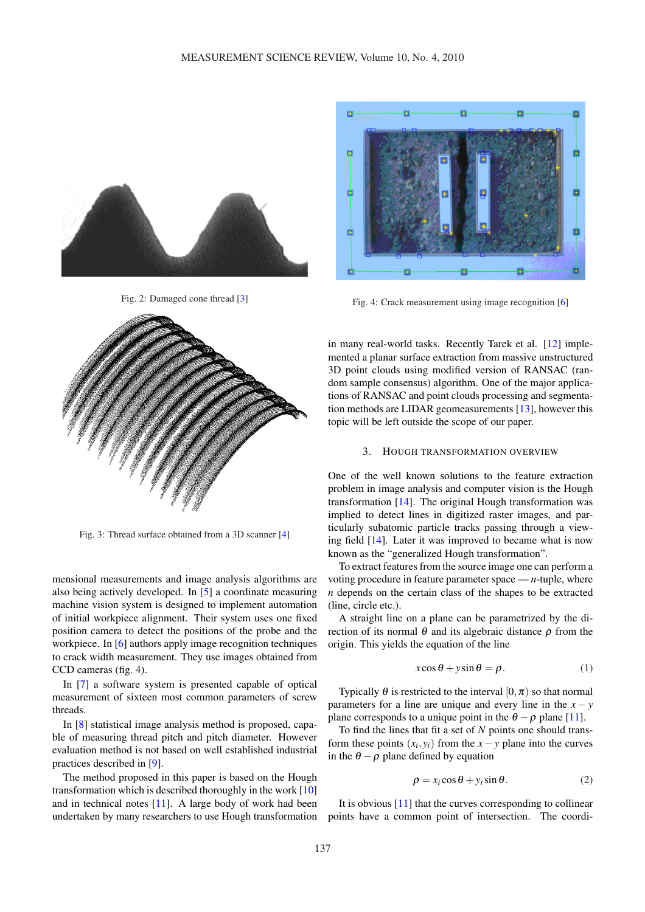





Fig. 3: Thread surface obtained from a 3D scanner [4]

mensional measurements and image analysis algorithms are also being actively developed. In [5] a coordinate measuring machine vision system is designed to implement automation of initial workpiece alignment. Their system uses one fixed position camera to detect the positions of the probe and the workpiece. In [6] authors apply image recognition techniques to crack width measurement. They use images obtained from CCD cameras (fig. 4).

In [7] a software system is presented capable of optical measurement of sixteen most common parameters of screw threads.

In [8] statistical image analysis method is proposed, capable of measuring thread pitch and pitch diameter. However evaluation method is not based on well established industrial practices described in [9].

The method proposed in this paper is based on the Hough transformation which is described thoroughly in the work [10] and in technical notes [11]. A large body of work had been undertaken by many researchers to use Hough transformation



Fig. 4: Crack measurement using image recognition [6]

in many real-world tasks. Recently Tarek et al. [12] implemented a planar surface extraction from massive unstructured 3D point clouds using modified version of RANSAC (random sample consensus) algorithm. One of the major applications of RANSAC and point clouds processing and segmentation methods are LIDAR geomeasurements [13], however this topic will be left outside the scope of our paper.

# 3. HOUGH TRANSFORMATION OVERVIEW

One of the well known solutions to the feature extraction problem in image analysis and computer vision is the Hough transformation [14]. The original Hough transformation was implied to detect lines in digitized raster images, and particularly subatomic particle tracks passing through a viewing field [14]. Later it was improved to became what is now known as the "generalized Hough transformation".

To extract features from the source image one can perform a voting procedure in feature parameter space  $- n$ -tuple, where *n* depends on the certain class of the shapes to be extracted (line, circle etc.).

A straight line on a plane can be parametrized by the direction of its normal  $θ$  and its algebraic distance  $ρ$  from the origin. This yields the equation of the line

$$
x\cos\theta + y\sin\theta = \rho. \tag{1}
$$

Typically  $\theta$  is restricted to the interval  $[0, \pi)$  so that normal parameters for a line are unique and every line in the  $x - y$ plane corresponds to a unique point in the  $\theta - \rho$  plane [11].

To find the lines that fit a set of *N* points one should transform these points  $(x_i, y_i)$  from the *x* − *y* plane into the curves in the  $\theta - \rho$  plane defined by equation

$$
\rho = x_i \cos \theta + y_i \sin \theta. \tag{2}
$$

It is obvious [11] that the curves corresponding to collinear points have a common point of intersection. The coordi-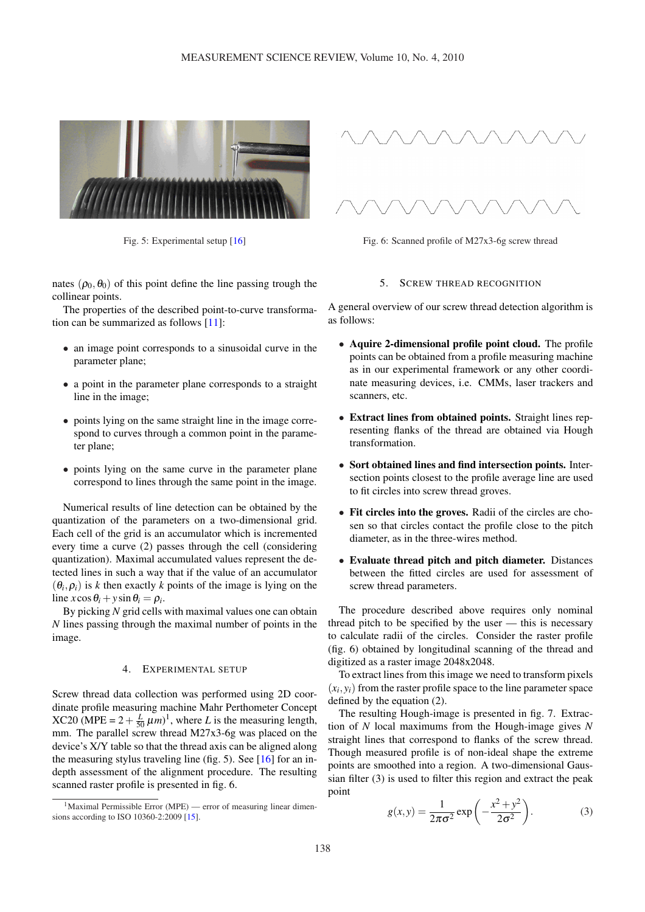

Fig. 5: Experimental setup [16]

nates  $(\rho_0, \theta_0)$  of this point define the line passing trough the collinear points.

The properties of the described point-to-curve transformation can be summarized as follows [11]:

- an image point corresponds to a sinusoidal curve in the parameter plane;
- a point in the parameter plane corresponds to a straight line in the image;
- points lying on the same straight line in the image correspond to curves through a common point in the parameter plane;
- points lying on the same curve in the parameter plane correspond to lines through the same point in the image.

Numerical results of line detection can be obtained by the quantization of the parameters on a two-dimensional grid. Each cell of the grid is an accumulator which is incremented every time a curve (2) passes through the cell (considering quantization). Maximal accumulated values represent the detected lines in such a way that if the value of an accumulator  $(\theta_i, \rho_i)$  is *k* then exactly *k* points of the image is lying on the  $\lim_{i \to \infty} x \cos \theta_i + y \sin \theta_i = \rho_i$ .

By picking *N* grid cells with maximal values one can obtain *N* lines passing through the maximal number of points in the image.

# 4. EXPERIMENTAL SETUP

Screw thread data collection was performed using 2D coordinate profile measuring machine Mahr Perthometer Concept  $XC20$  (MPE =  $2 + \frac{L}{50} \mu m$ <sup>1</sup>, where *L* is the measuring length, mm. The parallel screw thread M27x3-6g was placed on the device's X/Y table so that the thread axis can be aligned along the measuring stylus traveling line (fig. 5). See  $[16]$  for an indepth assessment of the alignment procedure. The resulting scanned raster profile is presented in fig. 6.







Fig. 6: Scanned profile of M27x3-6g screw thread

# 5. SCREW THREAD RECOGNITION

A general overview of our screw thread detection algorithm is as follows:

- Aquire 2-dimensional profile point cloud. The profile points can be obtained from a profile measuring machine as in our experimental framework or any other coordinate measuring devices, i.e. CMMs, laser trackers and scanners, etc.
- Extract lines from obtained points. Straight lines representing flanks of the thread are obtained via Hough transformation.
- Sort obtained lines and find intersection points. Intersection points closest to the profile average line are used to fit circles into screw thread groves.
- Fit circles into the groves. Radii of the circles are chosen so that circles contact the profile close to the pitch diameter, as in the three-wires method.
- Evaluate thread pitch and pitch diameter. Distances between the fitted circles are used for assessment of screw thread parameters.

The procedure described above requires only nominal thread pitch to be specified by the user — this is necessary to calculate radii of the circles. Consider the raster profile (fig. 6) obtained by longitudinal scanning of the thread and digitized as a raster image 2048x2048.

To extract lines from this image we need to transform pixels  $(x_i, y_i)$  from the raster profile space to the line parameter space defined by the equation (2).

The resulting Hough-image is presented in fig. 7. Extraction of *N* local maximums from the Hough-image gives *N* straight lines that correspond to flanks of the screw thread. Though measured profile is of non-ideal shape the extreme points are smoothed into a region. A two-dimensional Gaussian filter (3) is used to filter this region and extract the peak point  $\mathbf{r}$ 

$$
g(x,y) = \frac{1}{2\pi\sigma^2} \exp\left(-\frac{x^2 + y^2}{2\sigma^2}\right).
$$
 (3)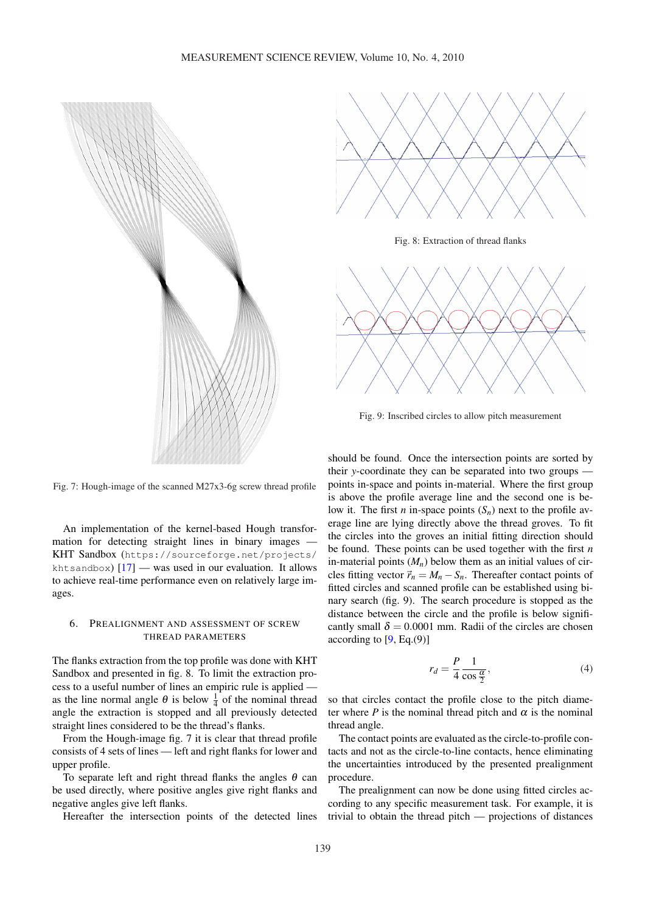

Fig. 8: Extraction of thread flanks



Fig. 9: Inscribed circles to allow pitch measurement

Fig. 7: Hough-image of the scanned M27x3-6g screw thread profile

An implementation of the kernel-based Hough transformation for detecting straight lines in binary images KHT Sandbox (https://sourceforge.net/projects/  $k$ htsandbox)  $[17]$  — was used in our evaluation. It allows to achieve real-time performance even on relatively large images.

# 6. PREALIGNMENT AND ASSESSMENT OF SCREW THREAD PARAMETERS

The flanks extraction from the top profile was done with KHT Sandbox and presented in fig. 8. To limit the extraction process to a useful number of lines an empiric rule is applied as the line normal angle  $\theta$  is below  $\frac{1}{4}$  of the nominal thread angle the extraction is stopped and all previously detected straight lines considered to be the thread's flanks.

From the Hough-image fig. 7 it is clear that thread profile consists of 4 sets of lines — left and right flanks for lower and upper profile.

To separate left and right thread flanks the angles  $\theta$  can be used directly, where positive angles give right flanks and negative angles give left flanks.

Hereafter the intersection points of the detected lines

should be found. Once the intersection points are sorted by their *y*-coordinate they can be separated into two groups points in-space and points in-material. Where the first group is above the profile average line and the second one is below it. The first *n* in-space points  $(S_n)$  next to the profile average line are lying directly above the thread groves. To fit the circles into the groves an initial fitting direction should be found. These points can be used together with the first *n* in-material points  $(M_n)$  below them as an initial values of circles fitting vector  $\vec{r}_n = M_n - S_n$ . Thereafter contact points of fitted circles and scanned profile can be established using binary search (fig. 9). The search procedure is stopped as the distance between the circle and the profile is below significantly small  $\delta = 0.0001$  mm. Radii of the circles are chosen according to  $[9, Eq.(9)]$ 

$$
r_d = \frac{P}{4} \frac{1}{\cos \frac{\alpha}{2}},\tag{4}
$$

so that circles contact the profile close to the pitch diameter where *P* is the nominal thread pitch and  $\alpha$  is the nominal thread angle.

The contact points are evaluated as the circle-to-profile contacts and not as the circle-to-line contacts, hence eliminating the uncertainties introduced by the presented prealignment procedure.

The prealignment can now be done using fitted circles according to any specific measurement task. For example, it is trivial to obtain the thread pitch — projections of distances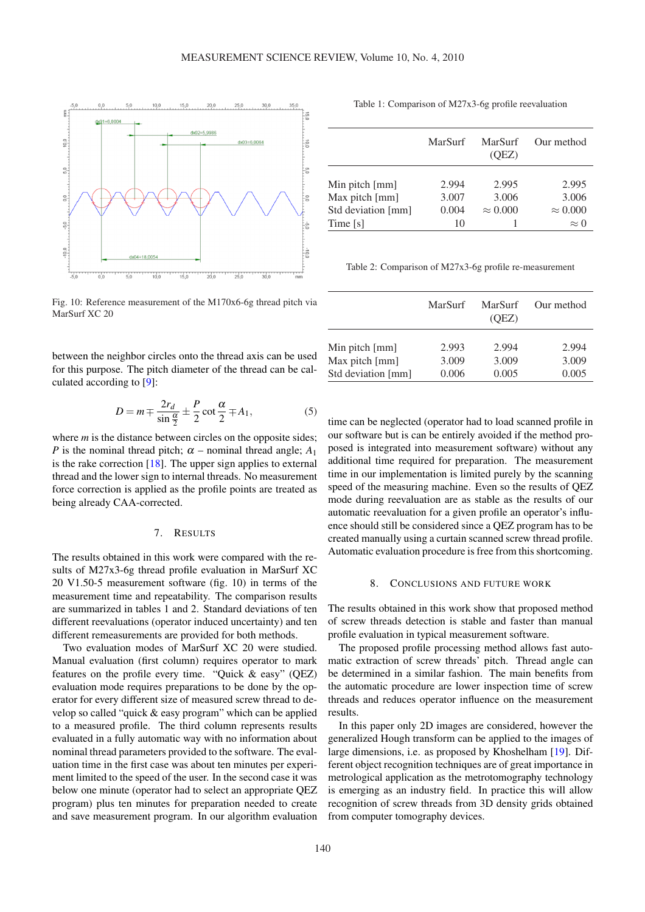

Fig. 10: Reference measurement of the M170x6-6g thread pitch via MarSurf XC 20

between the neighbor circles onto the thread axis can be used for this purpose. The pitch diameter of the thread can be calculated according to [9]:

$$
D = m \mp \frac{2r_d}{\sin\frac{\alpha}{2}} \pm \frac{P}{2} \cot\frac{\alpha}{2} \mp A_1,\tag{5}
$$

where *m* is the distance between circles on the opposite sides; *P* is the nominal thread pitch;  $\alpha$  – nominal thread angle;  $A_1$ is the rake correction  $[18]$ . The upper sign applies to external thread and the lower sign to internal threads. No measurement force correction is applied as the profile points are treated as being already CAA-corrected.

# 7. RESULTS

The results obtained in this work were compared with the results of M27x3-6g thread profile evaluation in MarSurf XC 20 V1.50-5 measurement software (fig. 10) in terms of the measurement time and repeatability. The comparison results are summarized in tables 1 and 2. Standard deviations of ten different reevaluations (operator induced uncertainty) and ten different remeasurements are provided for both methods.

Two evaluation modes of MarSurf XC 20 were studied. Manual evaluation (first column) requires operator to mark features on the profile every time. "Quick & easy" (QEZ) evaluation mode requires preparations to be done by the operator for every different size of measured screw thread to develop so called "quick & easy program" which can be applied to a measured profile. The third column represents results evaluated in a fully automatic way with no information about nominal thread parameters provided to the software. The evaluation time in the first case was about ten minutes per experiment limited to the speed of the user. In the second case it was below one minute (operator had to select an appropriate QEZ program) plus ten minutes for preparation needed to create and save measurement program. In our algorithm evaluation

Table 1: Comparison of M27x3-6g profile reevaluation

|                        | MarSurf | MarSurf<br>(OEZ) | Our method      |
|------------------------|---------|------------------|-----------------|
|                        |         |                  |                 |
| Min pitch ${\rm [mm]}$ | 2.994   | 2.995            | 2.995           |
| Max pitch [mm]         | 3.007   | 3.006            | 3.006           |
| Std deviation [mm]     | 0.004   | $\approx 0.000$  | $\approx 0.000$ |
| Time [s]               | 10      |                  | $\approx 0$     |

Table 2: Comparison of M27x3-6g profile re-measurement

| <b>MarSurf</b> | MarSurf<br>(OEZ) | Our method     |
|----------------|------------------|----------------|
| 2.993          | 2.994            | 2.994          |
| 0.006          | 0.005            | 3.009<br>0.005 |
|                | 3.009            | 3.009          |

time can be neglected (operator had to load scanned profile in our software but is can be entirely avoided if the method proposed is integrated into measurement software) without any additional time required for preparation. The measurement time in our implementation is limited purely by the scanning speed of the measuring machine. Even so the results of QEZ mode during reevaluation are as stable as the results of our automatic reevaluation for a given profile an operator's influence should still be considered since a QEZ program has to be created manually using a curtain scanned screw thread profile. Automatic evaluation procedure is free from this shortcoming.

#### 8. CONCLUSIONS AND FUTURE WORK

The results obtained in this work show that proposed method of screw threads detection is stable and faster than manual profile evaluation in typical measurement software.

The proposed profile processing method allows fast automatic extraction of screw threads' pitch. Thread angle can be determined in a similar fashion. The main benefits from the automatic procedure are lower inspection time of screw threads and reduces operator influence on the measurement results.

In this paper only 2D images are considered, however the generalized Hough transform can be applied to the images of large dimensions, i.e. as proposed by Khoshelham [19]. Different object recognition techniques are of great importance in metrological application as the metrotomography technology is emerging as an industry field. In practice this will allow recognition of screw threads from 3D density grids obtained from computer tomography devices.